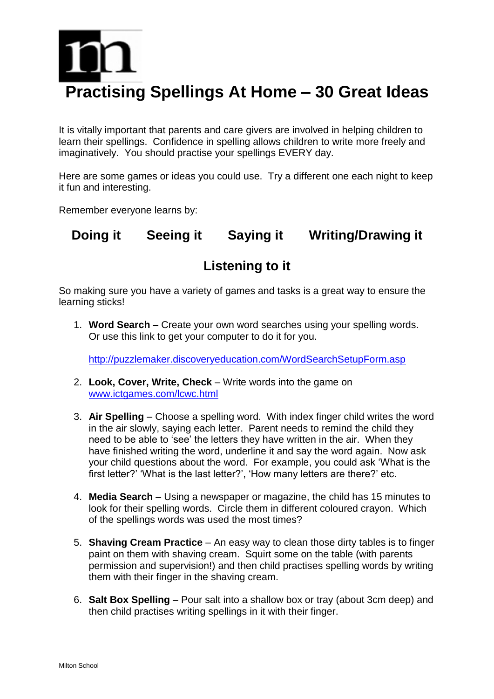## **Practising Spellings At Home – 30 Great Ideas**

It is vitally important that parents and care givers are involved in helping children to learn their spellings. Confidence in spelling allows children to write more freely and imaginatively. You should practise your spellings EVERY day.

Here are some games or ideas you could use. Try a different one each night to keep it fun and interesting.

Remember everyone learns by:

## **Doing it Seeing it Saying it Writing/Drawing it**

## **Listening to it**

So making sure you have a variety of games and tasks is a great way to ensure the learning sticks!

1. **Word Search** – Create your own word searches using your spelling words. Or use this link to get your computer to do it for you.

<http://puzzlemaker.discoveryeducation.com/WordSearchSetupForm.asp>

- 2. **Look, Cover, Write, Check** Write words into the game on [www.ictgames.com/lcwc.html](http://www.ictgames.com/lcwc.html)
- 3. **Air Spelling** Choose a spelling word. With index finger child writes the word in the air slowly, saying each letter. Parent needs to remind the child they need to be able to 'see' the letters they have written in the air. When they have finished writing the word, underline it and say the word again. Now ask your child questions about the word. For example, you could ask 'What is the first letter?' 'What is the last letter?', 'How many letters are there?' etc.
- 4. **Media Search** Using a newspaper or magazine, the child has 15 minutes to look for their spelling words. Circle them in different coloured crayon. Which of the spellings words was used the most times?
- 5. **Shaving Cream Practice** An easy way to clean those dirty tables is to finger paint on them with shaving cream. Squirt some on the table (with parents permission and supervision!) and then child practises spelling words by writing them with their finger in the shaving cream.
- 6. **Salt Box Spelling** Pour salt into a shallow box or tray (about 3cm deep) and then child practises writing spellings in it with their finger.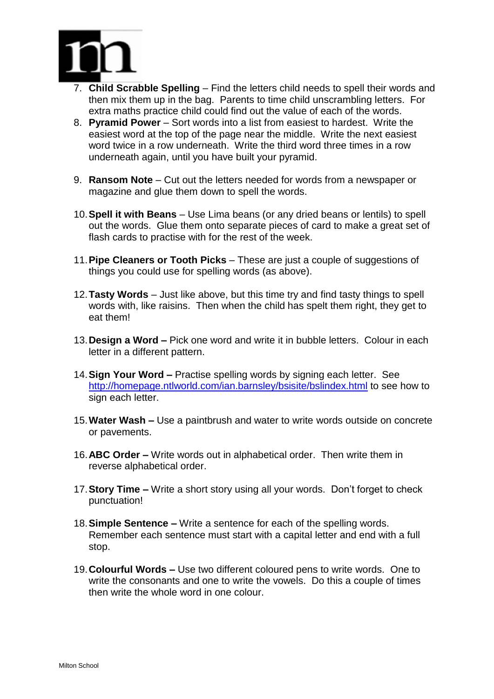

- 7. **Child Scrabble Spelling**  Find the letters child needs to spell their words and then mix them up in the bag. Parents to time child unscrambling letters. For extra maths practice child could find out the value of each of the words.
- 8. **Pyramid Power** Sort words into a list from easiest to hardest. Write the easiest word at the top of the page near the middle. Write the next easiest word twice in a row underneath. Write the third word three times in a row underneath again, until you have built your pyramid.
- 9. **Ransom Note** Cut out the letters needed for words from a newspaper or magazine and glue them down to spell the words.
- 10.**Spell it with Beans**  Use Lima beans (or any dried beans or lentils) to spell out the words. Glue them onto separate pieces of card to make a great set of flash cards to practise with for the rest of the week.
- 11.**Pipe Cleaners or Tooth Picks** These are just a couple of suggestions of things you could use for spelling words (as above).
- 12.**Tasty Words**  Just like above, but this time try and find tasty things to spell words with, like raisins. Then when the child has spelt them right, they get to eat them!
- 13.**Design a Word –** Pick one word and write it in bubble letters. Colour in each letter in a different pattern.
- 14.**Sign Your Word –** Practise spelling words by signing each letter. See <http://homepage.ntlworld.com/ian.barnsley/bsisite/bslindex.html> to see how to sign each letter.
- 15.**Water Wash –** Use a paintbrush and water to write words outside on concrete or pavements.
- 16.**ABC Order –** Write words out in alphabetical order. Then write them in reverse alphabetical order.
- 17.**Story Time –** Write a short story using all your words. Don't forget to check punctuation!
- 18.**Simple Sentence –** Write a sentence for each of the spelling words. Remember each sentence must start with a capital letter and end with a full stop.
- 19.**Colourful Words –** Use two different coloured pens to write words. One to write the consonants and one to write the vowels. Do this a couple of times then write the whole word in one colour.